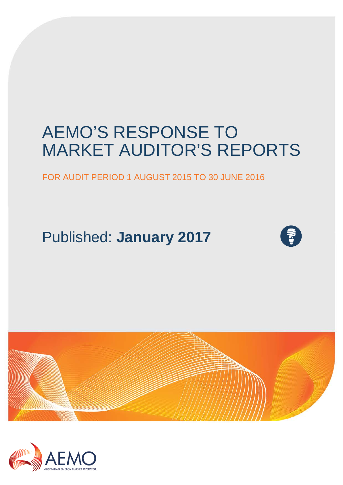# AEMO'S RESPONSE TO MARKET AUDITOR'S REPORTS

### FOR AUDIT PERIOD 1 AUGUST 2015 TO 30 JUNE 2016

Published: **January 2017**





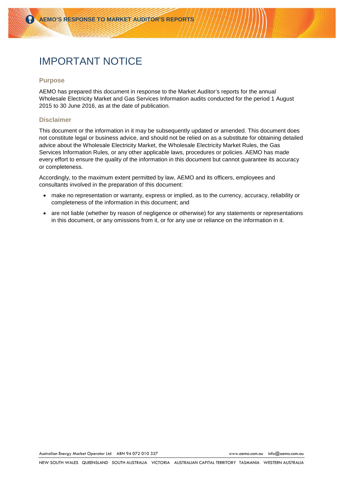# IMPORTANT NOTICE

#### **Purpose**

AEMO has prepared this document in response to the Market Auditor's reports for the annual Wholesale Electricity Market and Gas Services Information audits conducted for the period 1 August 2015 to 30 June 2016, as at the date of publication.

#### **Disclaimer**

This document or the information in it may be subsequently updated or amended. This document does not constitute legal or business advice, and should not be relied on as a substitute for obtaining detailed advice about the Wholesale Electricity Market, the Wholesale Electricity Market Rules, the Gas Services Information Rules, or any other applicable laws, procedures or policies. AEMO has made every effort to ensure the quality of the information in this document but cannot guarantee its accuracy or completeness.

Accordingly, to the maximum extent permitted by law, AEMO and its officers, employees and consultants involved in the preparation of this document:

- make no representation or warranty, express or implied, as to the currency, accuracy, reliability or completeness of the information in this document; and
- are not liable (whether by reason of negligence or otherwise) for any statements or representations in this document, or any omissions from it, or for any use or reliance on the information in it.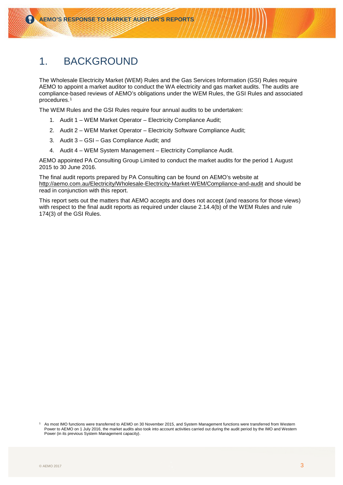### 1. BACKGROUND

The Wholesale Electricity Market (WEM) Rules and the Gas Services Information (GSI) Rules require AEMO to appoint a market auditor to conduct the WA electricity and gas market audits. The audits are compliance-based reviews of AEMO's obligations under the WEM Rules, the GSI Rules and associated procedures.[1](#page-2-0)

The WEM Rules and the GSI Rules require four annual audits to be undertaken:

- 1. Audit 1 WEM Market Operator Electricity Compliance Audit;
- 2. Audit 2 WEM Market Operator Electricity Software Compliance Audit;
- 3. Audit 3 GSI Gas Compliance Audit; and
- 4. Audit 4 WEM System Management Electricity Compliance Audit.

AEMO appointed PA Consulting Group Limited to conduct the market audits for the period 1 August 2015 to 30 June 2016.

The final audit reports prepared by PA Consulting can be found on AEMO's website at <http://aemo.com.au/Electricity/Wholesale-Electricity-Market-WEM/Compliance-and-audit> and should be read in conjunction with this report.

This report sets out the matters that AEMO accepts and does not accept (and reasons for those views) with respect to the final audit reports as required under clause 2.14.4(b) of the WEM Rules and rule 174(3) of the GSI Rules.

<span id="page-2-0"></span>As most IMO functions were transferred to AEMO on 30 November 2015, and System Management functions were transferred from Western Power to AEMO on 1 July 2016, the market audits also took into account activities carried out during the audit period by the IMO and Western Power (in its previous System Management capacity).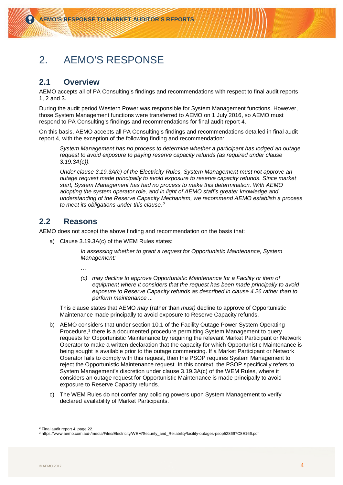## 2. AEMO'S RESPONSE

### **2.1 Overview**

AEMO accepts all of PA Consulting's findings and recommendations with respect to final audit reports 1, 2 and 3.

During the audit period Western Power was responsible for System Management functions. However, those System Management functions were transferred to AEMO on 1 July 2016, so AEMO must respond to PA Consulting's findings and recommendations for final audit report 4.

On this basis, AEMO accepts all PA Consulting's findings and recommendations detailed in final audit report 4, with the exception of the following finding and recommendation:

*System Management has no process to determine whether a participant has lodged an outage request to avoid exposure to paying reserve capacity refunds (as required under clause 3.19.3A(c)).*

*Under clause 3.19.3A(c) of the Electricity Rules, System Management must not approve an outage request made principally to avoid exposure to reserve capacity refunds. Since market start, System Management has had no process to make this determination. With AEMO adopting the system operator role, and in light of AEMO staff's greater knowledge and understanding of the Reserve Capacity Mechanism, we recommend AEMO establish a process to meet its obligations under this clause.[2](#page-3-0)*

### **2.2 Reasons**

AEMO does not accept the above finding and recommendation on the basis that:

a) Clause 3.19.3A(c) of the WEM Rules states:

*In assessing whether to grant a request for Opportunistic Maintenance, System Management:*

*…*

*(c) may decline to approve Opportunistic Maintenance for a Facility or item of equipment where it considers that the request has been made principally to avoid exposure to Reserve Capacity refunds as described in clause 4.26 rather than to perform maintenance ...*

This clause states that AEMO *may* (rather than *must)* decline to approve of Opportunistic Maintenance made principally to avoid exposure to Reserve Capacity refunds.

- b) AEMO considers that under section 10.1 of the Facility Outage Power System Operating Procedure,<sup>[3](#page-3-1)</sup> there is a documented procedure permitting System Management to query requests for Opportunistic Maintenance by requiring the relevant Market Participant or Network Operator to make a written declaration that the capacity for which Opportunistic Maintenance is being sought is available prior to the outage commencing. If a Market Participant or Network Operator fails to comply with this request, then the PSOP requires System Management to reject the Opportunistic Maintenance request. In this context, the PSOP specifically refers to System Management's discretion under clause 3.19.3A(c) of the WEM Rules, where it considers an outage request for Opportunistic Maintenance is made principally to avoid exposure to Reserve Capacity refunds.
- c) The WEM Rules do not confer any policing powers upon System Management to verify declared availability of Market Participants.

<span id="page-3-0"></span>2 Final audit report 4; page 22.

<span id="page-3-1"></span><sup>3</sup> https://www.aemo.com.au/-/media/Files/Electricity/WEM/Security\_and\_Reliability/facility-outages-psop528697C8E166.pdf